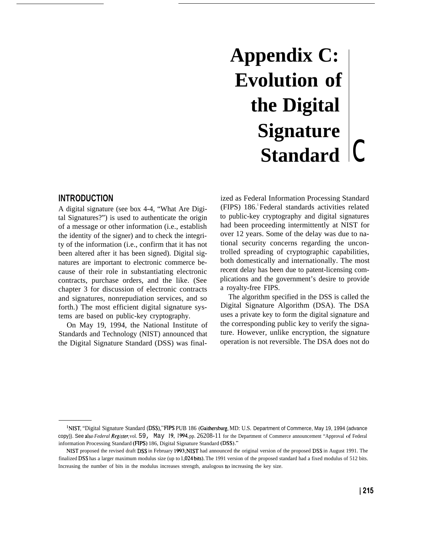# **Appendix C: Evolution of the Digital Signature Standard** C

## **INTRODUCTION**

A digital signature (see box 4-4, "What Are Digital Signatures?") is used to authenticate the origin of a message or other information (i.e., establish the identity of the signer) and to check the integrity of the information (i.e., confirm that it has not been altered after it has been signed). Digital signatures are important to electronic commerce because of their role in substantiating electronic contracts, purchase orders, and the like. (See chapter 3 for discussion of electronic contracts and signatures, nonrepudiation services, and so forth.) The most efficient digital signature systems are based on public-key cryptography.

On May 19, 1994, the National Institute of Standards and Technology (NIST) announced that the Digital Signature Standard (DSS) was final-

ized as Federal Information Processing Standard (FIPS) 186.<sup>1</sup>Federal standards activities related to public-key cryptography and digital signatures had been proceeding intermittently at NIST for over 12 years. Some of the delay was due to national security concerns regarding the uncontrolled spreading of cryptographic capabilities, both domestically and internationally. The most recent delay has been due to patent-licensing complications and the government's desire to provide a royalty-free FIPS.

The algorithm specified in the DSS is called the Digital Signature Algorithm (DSA). The DSA uses a private key to form the digital signature and the corresponding public key to verify the signature. However, unlike encryption, the signature operation is not reversible. The DSA does not do

<sup>1</sup> NIST, "Digital Signature Standard (DSS)," FIPS PUB 186 (Gaithersburg, MD: U.S. Department of Commerce, May 19, 1994 (advance copy)). See also *Federal Registec* vol. 59, May 19, 1994, pp. 26208-11 for the Department of Commerce announcement "Approval of Federal information Processing Standard (FIPS) 186, Digital Signature Standard (DSS)."

NIST proposed the revised draft DSS in February 1993; NIST had announced the original version of the proposed DSS in August 1991. The finalized DSS has a larger maximum modulus size (up to 1,024bits). The 1991 version of the proposed standard had a fixed modulus of 512 bits. Increasing the number of bits in the modulus increases strength, analogous to increasing the key size.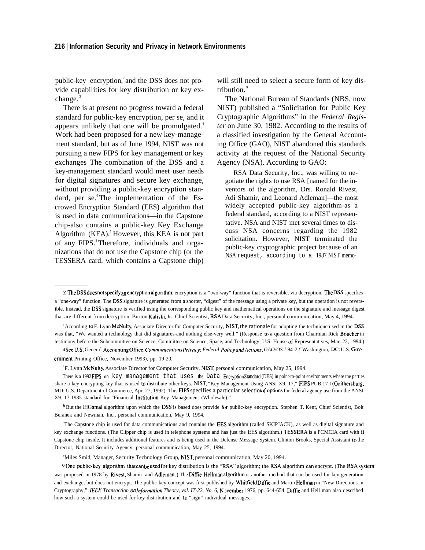#### **216 I Information Security and Privacy in Network Environments**

public-key encryption, and the DSS does not provide capabilities for key distribution or key ex $change.$ 

There is at present no progress toward a federal standard for public-key encryption, per se, and it appears unlikely that one will be promulgated.<sup>4</sup> Work had been proposed for a new key-management standard, but as of June 1994, NIST was not pursuing a new FIPS for key management or key exchanges The combination of the DSS and a key-management standard would meet user needs for digital signatures and secure key exchange, without providing a public-key encryption standard, per se. The implementation of the Escrowed Encryption Standard (EES) algorithm that is used in data communications—in the Capstone chip-also contains a public-key Key Exchange Algorithm  $(KEA)$ .<sup>7</sup> However, this KEA is not part of any FIPS.<sup>8</sup> Therefore, individuals and organizations that do not use the Capstone chip (or the TESSERA card, which contains a Capstone chip)

will still need to select a secure form of key distribution.<sup>9</sup>

The National Bureau of Standards (NBS, now NIST) published a "Solicitation for Public Key Cryptographic Algorithms" in the *Federal Register* on June 30, 1982. According to the results of a classified investigation by the General Accounting Office (GAO), NIST abandoned this standards activity at the request of the National Security Agency (NSA). According to GAO:

RSA Data Security, Inc., was willing to negotiate the rights to use RSA [named for the inventors of the algorithm, Drs. Ronald Rivest, Adi Shamir, and Leonard Adleman]—the most widely accepted public-key algorithm-as a federal standard, according to a NIST representative. NSA and NIST met several times to discuss NSA concerns regarding the 1982 solicitation. However, NIST terminated the public-key cryptographic project because of an NSA request, according to a 1987 NIST memo-

6 But the EIGamal algorithm upon which the DSS is based does provide for public-key encryption. Stephen T. Kent, Chief Scientist, Bolt Beranek and Newman, Inc., personal communication, May 9, 1994.

The Capstone chip is used for data communications and contains the **EES** algorithm (called SKIPJACK), as well as digital signature and key exchange functions. (The Clipper chip is used in telephone systems and has just the EES algorithm.) TESSERA is a PCMCIA card with **ii** Capstone chip inside. It includes additional features and is being used in the Defense Message System. Clinton Brooks, Special Assistant to the Director, National Security Agency, personal communication, May 25, 1994.

<sup>8</sup>Miles Smid, Manager, Security Technology Group, NIST, personal communication, May 20, 1994.

9 One public-key algorithm that canbeused for key distribution is the "RSA" algorithm; the RSA algorithm can encrypt. (The RSA system was proposed in 1978 by Rivest, Shamir, and Adleman.) The Diffie-Hellman algorithm is another method that can be used for key generation and exchange, but does not encrypt. The public-key concept was first published by Whitfield Diffie and Martin Hellman in "New Directions in Cryptography," IEEE Transaction onInformation Theory, vol. IT-22, No. 6, November 1976, pp. 644-654. Diffie and Hell man also described how such a system could be used for key distribution and to "sign" individual messages.

Z The DSS does not specify an encryption algorithm; encryption is a "two-way" function that is reversible, via decryption. The DSS specifies a "one-way" function. The DSS signature is generated from a shorter, "digest" of the message using a private key, but the operation is not reversible. Instead, the DSS signature is verified using the corresponding public key and mathematical operations on the signature and message digest that are different from decryption. Burton Kaliski, Jr., Chief Scientist, RSA Data Security, Inc., personal communication, May 4, 1994.

<sup>&</sup>lt;sup>3</sup> According to F. Lynn McNulty, Associate Director for Computer Security, NIST, the rationale for adopting the technique used in the DSS was that, "We wanted a technology that did signatures-and nothing else-very well." (Response to a question from Chairman Rick Boucher in testimony before the Subcommittee on Science, Committee on Science, Space, and Technology, U.S. House of Representatives, Mar. 22, 1994.)

<sup>4</sup> See U.S. Genera] Accounting Office, Communications Privacy: Federal Policy and Actions, GAO/OS 1-94-2 ( Washington, DC: U.S. Govemment Printing Office, November 1993), pp. 19-20.

<sup>5</sup>F. Lynn McNulty, Associate Director for Computer Security, NIST, personal communication, May 25, 1994.

There is a 1992 FIPS on key management that uses the Data Encryption Standard (DES) in point-to-point environments where the parties share a key-encrypting key that is used to distribute other keys. NIST, "Key Management Using ANSI X9. 17," FIPS PUB 17 I (Gaithersburg, MD: U.S. Department of Commerce, Apr. 27, 1992). This FIPS specifies a particular selection options for federal agency use from the ANSI X9. 17-1985 standard for "Financial lrrstitution Key Management (Wholesale)."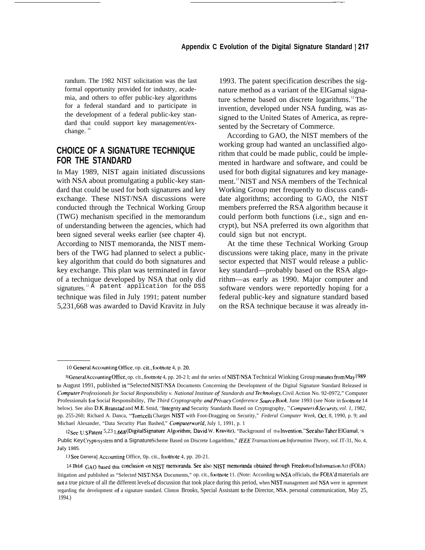randum. The 1982 NIST solicitation was the last formal opportunity provided for industry, academia, and others to offer public-key algorithms for a federal standard and to participate in the development of a federal public-key standard that could support key management/exchange. $1$ 

## **CHOICE OF A SIGNATURE TECHNIQUE FOR THE STANDARD**

In May 1989, NIST again initiated discussions with NSA about promulgating a public-key standard that could be used for both signatures and key exchange. These NIST/NSA discussions were conducted through the Technical Working Group (TWG) mechanism specified in the memorandum of understanding between the agencies, which had been signed several weeks earlier (see chapter 4). According to NIST memoranda, the NIST members of the TWG had planned to select a publickey algorithm that could do both signatures and key exchange. This plan was terminated in favor of a technique developed by NSA that only did signatures.<sup>11 A</sup> patent application for the DSS technique was filed in July 1991; patent number 5,231,668 was awarded to David Kravitz in July

1993. The patent specification describes the signature method as a variant of the ElGamal signature scheme based on discrete logarithms.<sup>12</sup>The invention, developed under NSA funding, was assigned to the United States of America, as represented by the Secretary of Commerce.

——

According to GAO, the NIST members of the working group had wanted an unclassified algorithm that could be made public, could be implemented in hardware and software, and could be used for both digital signatures and key management.<sup>13</sup>NIST and NSA members of the Technical Working Group met frequently to discuss candidate algorithms; according to GAO, the NIST members preferred the RSA algorithm because it could perform both functions (i.e., sign and encrypt), but NSA preferred its own algorithm that could sign but not encrypt.

At the time these Technical Working Group discussions were taking place, many in the private sector expected that NIST would release a publickey standard—probably based on the RSA algorithm—as early as 1990. Major computer and software vendors were reportedly hoping for a federal public-key and signature standard based on the RSA technique because it was already in-

<sup>10</sup> General Accounting Office, op. cit., footnote 4, p. 20.

<sup>I</sup> <sup>I</sup> General Accounting Office, op. cit., footnote 4, pp. 20-2 I; and the series of NIST/NSA Technical Winking Group minutes from May 1989 to August 1991, published in "Selected NIST/NSA Documents Concerning the Development of the Digital Signature Standard Released in *Computer Professionals for Social Responsibility v. National Institute of Standards and Technology*, Civil Action No. 92-0972," Computer Professionals for Social Responsibility, *The Third Cryptography and Privacy Conference Source Book*, June 1993 (see Note in footnote 14 below). See also D.K. Branstad and M.E. Smid, "Integrity and Security Standards Based on Cryptography, "Computers & Security, vol. 1, 1982, pp. 255-260; Richard A. Danca, "Torncelli Charges NIST with Foot-Dragging on Security," *Federal Computer Week,* Oct. 8, 1990, p. 9; and Michael Alexander, "Data Security Plan Bashed," *Computerworld*, July 1, 1991, p. 1

<sup>12</sup> See: U.SPatent <sup>5,23</sup> 1,668 (Digital Signature Algorithm; David W. Kravitz), "Background of the Invention." See also Taher ElGamal, "A Public Key Cryptosystem and a Signature Scheme Based on Discrete Logarithms," IEEE Transactions on Information Theory, vol. IT-31, No. 4, July 1985.

<sup>13</sup> See Genera] Accounting Office, 0p. cit., footnote 4, pp. 20-21.

<sup>14</sup> Ibid GAO based this conclusion on NIST memoranda. See also NIST memoranda obtained through Freedom of Information Act (FOIA)

litigation and published as "Selected NIST/NSA Documents," op. cit., footnote 11. (Note: According to NSA officials, the FOIA'd materials are not a true picture of all the different levels of discussion that took place during this period, when NIST management and NSA were in agreement regarding the development of a signature standard. Clinton Brooks, Special Assistant to the Director, NSA, personal communication, May 25, 1994.)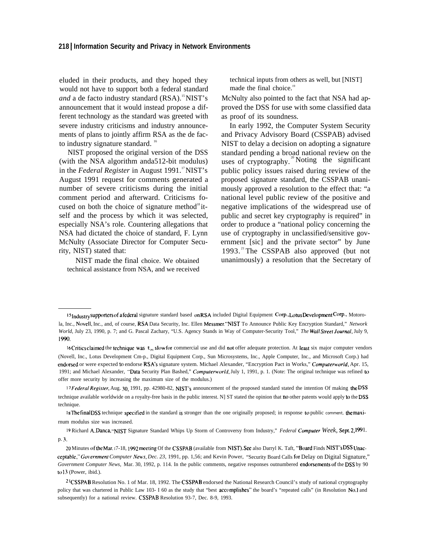#### **218 I Information Security and Privacy in Network Environments**

eluded in their products, and they hoped they would not have to support both a federal standard and a de facto industry standard (RSA).<sup>15</sup>NIST's announcement that it would instead propose a different technology as the standard was greeted with severe industry criticisms and industry announcements of plans to jointly affirm RSA as the de facto industry signature standard.<sup>16</sup>

NIST proposed the original version of the DSS (with the NSA algorithm anda512-bit modulus) in the *Federal Register* in August 1991.<sup>17</sup>NIST's August 1991 request for comments generated a number of severe criticisms during the initial comment period and afterward. Criticisms focused on both the choice of signature method $^{\text{18}}$  itself and the process by which it was selected, especially NSA's role. Countering allegations that NSA had dictated the choice of standard, F. Lynn McNulty (Associate Director for Computer Security, NIST) stated that:

NIST made the final choice. We obtained technical assistance from NSA, and we received technical inputs from others as well, but [NIST] made the final choice.<sup>19</sup>

McNulty also pointed to the fact that NSA had approved the DSS for use with some classified data as proof of its soundness.

In early 1992, the Computer System Security and Privacy Advisory Board (CSSPAB) advised NIST to delay a decision on adopting a signature standard pending a broad national review on the uses of cryptography.<sup>20</sup> Noting the significant public policy issues raised during review of the proposed signature standard, the CSSPAB unanimously approved a resolution to the effect that: "a national level public review of the positive and negative implications of the widespread use of public and secret key cryptography is required" in order to produce a "national policy concerning the use of cryptography in unclassified/sensitive government [sic] and the private sector" by June 1993.<sup>21</sup>The CSSPAB also approved (but not unanimously) a resolution that the Secretary of

17 Federal Register, Aug. 30, 1991, pp. 42980-82, NIST's announcement of the proposed standard stated the intention Of making the DSS technique available worldwide on a royalty-free basis in the public interest. N] ST stated the opinion that no other patents would apply to the DSS technique.

<sup>18</sup>The final DSS technique specified in the standard is stronger than the one originally proposed; in response to public comment, the maxirnum modulus size was increased.

19 Richard A. Danca, "NIST Signature Standard Whips Up Storm of Controversy from Industry," *Federal Computer Week*, Sept. 2, 1991. p. 3.

20 Minutes of the Mar. 17-18, 1992 meeting Of the CSSPAB (available from NIST). See also Darryl K. Taft, "Board Finds NIST's DSS Unacceptable," Government Computer News, Dec. 23, 1991, pp. 1,56; and Kevin Power, "Security Board Calls for Delay on Digital Signature," Government Computer News, Mar. 30, 1992, p. 114. In the public comments, negative responses outnumbered endorsements of the DSS by 90 to 13 (Power, ibid.).

<sup>21</sup> CSSPAB Resolution No. 1 of Mar. 18, 1992. The CSSPAB endorsed the National Research Council's study of national cryptography policy that was chartered in Public Law 103- I 60 as the study that "best accomplishes" the board's "repeated calls" (in Resolution No.1 and subsequently) for a national review. CSSPAB Resolution 93-7, Dec. 8-9, 1993.

<sup>15</sup> Industry supporters of afederal signature standard based on RSA included Digital Equipment Corp., Lotus Development Corp., Motorola, Inc., Novell, Inc., and, of course, RSA Data Security, Inc. Ellen Messmer. "NIST To Announce Public Key Encryption Standard," *Network World,* July 23, 1990, p. 7; and G. Pascal Zachary, "U.S. Agency Stands in Way of Computer-Security Tool," *The Wall* Street *Journul,* July 9, 1990.

<sup>16</sup> Critics claimed the technique was  $t_{cm}$  slow for commercial use and did not offer adequate protection. At least six major computer vendors (Novell, Inc., Lotus Development Cm-p., Digital Equipment Corp., Sun Microsystems, Inc., Apple Computer, Inc., and Microsoft Corp.) had endorsed or were expected to endorse RSA's signature system. Michael Alexander, "Encryption Pact in Works," *Computerworld*, Apr. 15, 1991; and Michael Alexander, '"Data Security Plan Bashed," *Computeru'orld,* July 1, 1991, p. 1. (Note: The original technique was refined to offer more security by increasing the maximum size of the modulus.)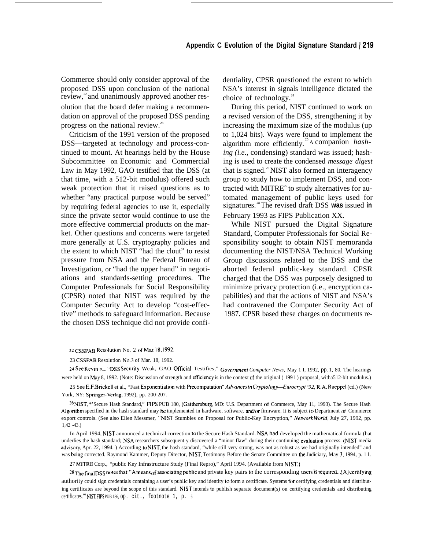#### **Appendix C Evolution of the Digital Signature Standard 1219**

Commerce should only consider approval of the proposed DSS upon conclusion of the national review,<sup>22</sup> and unanimously approved another resolution that the board defer making a recommendation on approval of the proposed DSS pending progress on the national review.<sup>23</sup>

Criticism of the 1991 version of the proposed DSS—targeted at technology and process-continued to mount. At hearings held by the House Subcommittee on Economic and Commercial Law in May 1992, GAO testified that the DSS (at that time, with a 512-bit modulus) offered such weak protection that it raised questions as to whether "any practical purpose would be served" by requiring federal agencies to use it, especially since the private sector would continue to use the more effective commercial products on the market. Other questions and concerns were targeted more generally at U.S. cryptography policies and the extent to which NIST "had the clout" to resist pressure from NSA and the Federal Bureau of Investigation, or "had the upper hand" in negotiations and standards-setting procedures. The Computer Professionals for Social Responsibility (CPSR) noted that NIST was required by the Computer Security Act to develop "cost-effective" methods to safeguard information. Because the chosen DSS technique did not provide confidentiality, CPSR questioned the extent to which NSA's interest in signals intelligence dictated the choice of technology. $24$ 

During this period, NIST continued to work on a revised version of the DSS, strengthening it by increasing the maximum size of the modulus (up to 1,024 bits). Ways were found to implement the algorithm more efficiently. <sup>25</sup>A companion *hashing (i.e.,* condensing) standard was issued; hashing is used to create the condensed *message digest* that is signed. $26$ NIST also formed an interagency group to study how to implement DSS, and contracted with  $MITRE<sup>27</sup>$  to study alternatives for automated management of public keys used for signatures. <sup>28</sup>The revised draft DSS **was** issued **in** February 1993 as FIPS Publication XX.

While NIST pursued the Digital Signature Standard, Computer Professionals for Social Responsibility sought to obtain NIST memoranda documenting the NIST/NSA Technical Working Group discussions related to the DSS and the aborted federal public-key standard. CPSR charged that the DSS was purposely designed to minimize privacy protection (i.e., encryption capabilities) and that the actions of NIST and NSA's had contravened the Computer Security Act of 1987. CPSR based these charges on documents re-

27 MITRE Corp., "public Key Infrastructure Study (Final Repro)," April 1994. (Available from NIST.)

28 The final DSS notes that: "A means of associating public and private key pairs to the corresponding users is required...[A] certifying authority could sign credentials containing a user's public key and identity to form a certificate. Systems for certifying credentials and distributing certificates are beyond the scope of this standard. NIST intends to publish separate document(s) on certifying credentials and distributing certificates."' NIST, FIPS PUB 186, op. cit., footnote 1, p. 6.

<sup>22</sup> CSSPAB Resolution No. 2 of Mar. 18, 1992.

<sup>23</sup> CSSPAB Resolution No. 3 of Mar. 18, 1992.

<sup>24</sup> See Kevin p<sub>rom</sub> "DSS Security Weak, GAO Official Testifies," *Government Computer News*, May 1 I, 1992, pp. 1, 80. The hearings were held on Mzy 8, 1992. (Note: Discussion of strength and efficiency is in the context of the original (1991) proposal, witha512-bit modulus.)

<sup>25</sup> See E.F.Brickell et al., "Fast Exponentiation with Precomputation" Advances in Cryptology-Eurocrypt '92, R.A. Rueppel (cd.) (New York, NY: Springer-Verlag, 1992), pp. 200-207.

<sup>26</sup> NIST, \*'Secure Hash Standard," FIPS PUB 180, (Gaithersburg, MD: U.S. Department of Commerce, May 11, 1993). The Secure Hash Algorithm specified in the hash standard may be implemented in hardware, software, and/or firmware. It is subject to Department of Commerce export controls. (See also Ellen Messmer, "NIST Stumbles on Proposal for Public-Key Encryption," *NetworkWorld*, July 27, 1992, pp. 1,42 -43.)

In April 1994, NIST announced a technical correction to the Secure Hash Standard. NSA had developed the mathematical formula (hat underlies the hash standard; NSA researchers subsequent y discovered a "minor flaw" during their continuing evaluation process. (NIST media advisory, Apr. 22, 1994.) According to NIST, the hash standard, "while still very strong, was not as robust as we had originally intended" and was being corrected. Raymond Kammer, Deputy Director, NIST, Testimony Before the Senate Committee on the Judiciary, May 3, 1994, p. 1 I.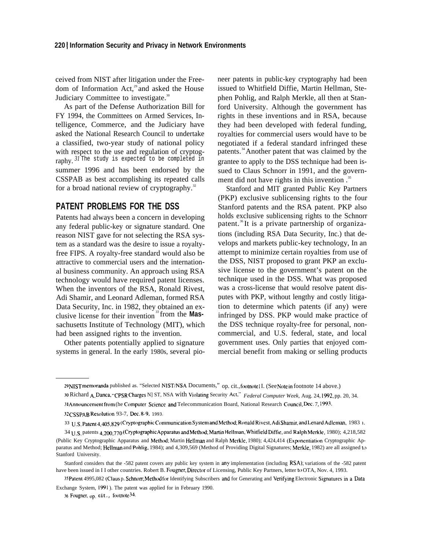ceived from NIST after litigation under the Freedom of Information Act,<sup>29</sup> and asked the House Judiciary Committee to investigate.<sup>30</sup>

As part of the Defense Authorization Bill for FY 1994, the Committees on Armed Services, Intelligence, Commerce, and the Judiciary have asked the National Research Council to undertake a classified, two-year study of national policy with respect to the use and regulation of cryptography. 31 The study is expected to be completed in summer 1996 and has been endorsed by the CSSPAB as best accomplishing its repeated calls for a broad national review of cryptography. $32$ 

## **PATENT PROBLEMS FOR THE DSS**

Patents had always been a concern in developing any federal public-key or signature standard. One reason NIST gave for not selecting the RSA system as a standard was the desire to issue a royaltyfree FIPS. A royalty-free standard would also be attractive to commercial users and the international business community. An approach using RSA technology would have required patent licenses. When the inventors of the RSA, Ronald Rivest, Adi Shamir, and Leonard Adleman, formed RSA Data Security, Inc. in 1982, they obtained an exclusive license for their invention<sup>33</sup> from the **Mas**sachusetts Institute of Technology (MIT), which had been assigned rights to the invention.

Other patents potentially applied to signature systems in general. In the early 1980s, several pioneer patents in public-key cryptography had been issued to Whitfield Diffie, Martin Hellman, Stephen Pohlig, and Ralph Merkle, all then at Stanford University. Although the government has rights in these inventions and in RSA, because they had been developed with federal funding, royalties for commercial users would have to be negotiated if a federal standard infringed these patents.<sup>34</sup>Another patent that was claimed by the grantee to apply to the DSS technique had been issued to Claus Schnorr in 1991, and the government did not have rights in this invention.<sup>35</sup>

Stanford and MIT granted Public Key Partners (PKP) exclusive sublicensing rights to the four Stanford patents and the RSA patent. PKP also holds exclusive sublicensing rights to the Schnorr patent.<sup>36</sup>It is a private partnership of organizations (including RSA Data Security, Inc.) that develops and markets public-key technology, In an attempt to minimize certain royalties from use of the DSS, NIST proposed to grant PKP an exclusive license to the government's patent on the technique used in the DSS. What was proposed was a cross-license that would resolve patent disputes with PKP, without lengthy and costly litigation to determine which patents (if any) were infringed by DSS. PKP would make practice of the DSS technique royalty-free for personal, noncommercial, and U.S. federal, state, and local government uses. Only parties that enjoyed commercial benefit from making or selling products

<sup>29</sup> NIST memoranda published as. "Selected NIST/NSA Documents," op. cit., footnote II. (See Note in footnote 14 above.)

<sup>10</sup> Richard A. Danca, "CPSR Charges NJ ST, NSA with Violating Security Act," *Federal Computer Week*, Aug. 24, 1992, pp. 20, 34.

<sup>1</sup> <sup>I</sup> Ann(~uncenlen[ fronl (he **Compu[er science and** Telecommunication Board, National Research Council, Dec. 7, 1993.

<sup>32</sup> CSSPAB Resolution 93-7, Dec. 8-9, 1993.

<sup>33</sup> u,s. patent 4,45,829 (Cvp{ographlc Conlnlunlcatl{)n **system and Method; Ronald Rlves[, Adl Shamir, and Lenard** Adleman, 1983 ).

<sup>34</sup> U.S. patents 4,200,770 (Cryptographic Apparatus and Method; Martin Hellman, Whitfield Diffie, and Ralph Merkle, 1980); 4,218,582 (Public Key Cryptographic Apparatus and Method; Martin Hellman and Ralph Merkle, 1980); 4,424,414 (Exponentiation Cryptographic Apparatus and Method; Helhnan and Pohlig, 1984); and 4,309,569 (Method of Providing Digital Signatures; Merkle, 1982) are all assigned to Stanford University.

Stanford considers that the -582 patent covers any public key system in any implementation (including RSA); variations of the -582 patent have been issued in II other countries. Robert B. Fougner, Director of Licensing, Public Key Partners, letter to OTA, Nov. 4, 1993.

<sup>35</sup> Patent 4995,082 (Claus p. Schnorr; Method for Identifying Subscribers and for Generating and Verifying Electronic Signatures in a Data Exchange System, 1991 ). The patent was applied for in February 1990.

**<sup>36</sup> Fougner**, **op**, **cit.**, **footnote** 34.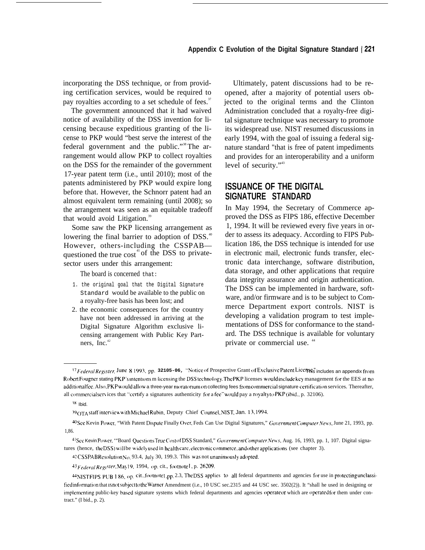incorporating the DSS technique, or from providing certification services, would be required to pay royalties according to a set schedule of fees.<sup>37</sup>

The government announced that it had waived notice of availability of the DSS invention for licensing because expeditious granting of the license to PKP would "best serve the interest of the federal government and the public."38 The arrangement would allow PKP to collect royalties on the DSS for the remainder of the government 17-year patent term (i.e., until 2010); most of the patents administered by PKP would expire long before that. However, the Schnorr patent had an almost equivalent term remaining (until 2008); so the arrangement was seen as an equitable tradeoff that would avoid Litigation.<sup>39</sup>

Some saw the PKP licensing arrangement as lowering the final barrier to adoption of DSS.<sup>40</sup> However, others-including the CSSPAB questioned the true  $\cos t$ <sup>41</sup> of the DSS to privatesector users under this arrangement:

The board is concerned that:

- 1. the original goal that the Digital Signature Standard would be available to the public on a royalty-free basis has been lost; and
- 2. the economic consequences for the country have not been addressed in arriving at the Digital Signature Algorithm exclusive licensing arrangement with Public Key Partners, Inc. $42$

Ultimately, patent discussions had to be reopened, after a majority of potential users objected to the original terms and the Clinton Administration concluded that a royalty-free digital signature technique was necessary to promote its widespread use. NIST resumed discussions in early 1994, with the goal of issuing a federal signature standard "that is free of patent impediments and provides for an interoperability and a uniform level of security."<sup>43</sup>

## **ISSUANCE OF THE DIGITAL SIGNATURE STANDARD**

In May 1994, the Secretary of Commerce approved the DSS as FIPS 186, effective December 1, 1994. It will be reviewed every five years in order to assess its adequacy. According to FIPS Publication 186, the DSS technique is intended for use in electronic mail, electronic funds transfer, electronic data interchange, software distribution, data storage, and other applications that require data integrity assurance and origin authentication. The DSS can be implemented in hardware, software, and/or firmware and is to be subject to Commerce Department export controls. NIST is developing a validation program to test implementations of DSS for conformance to the standard. The DSS technique is available for voluntary private or commercial use.<sup>44</sup>

<sup>37</sup> ~-r~era/RegJ., ,(er **June II 1993, pp. 32105-06,** "NtJticc of Prospective Grant of Excluslve F%mmt Licm=. This includes an appendix " fr(~nl Robert Fougner stating PKP's intentions m licensing the DSS technology. The PKP licenses would include key management for the EES at no additionalfee. Also, PKP would allow a three-year moratorium on collecting fees from commercial signature certification services. Thereafter, all commercial services that "certify a signatures authenticity for a fee" would pay a royalty to PKP (ibid., p. 32106).

 $38$  Ibid.

<sup>39</sup> OTA staff interview with Michael Rubin, Deputy Chief Counsel, NIST, Jan. 13, 1994.

<sup>&</sup>lt;sup>40</sup> See Kevin Power, "With Patent Dispute Finally Over, Feds Can Use Digital Signatures," *Government Computer News*, June 21, 1993, pp. 1,86.

<sup>&</sup>lt;sup>41</sup> See Kevin Power, "Board Questions True Cost of DSS Standard," *Government Computer News*, Aug. 16, 1993, pp. 1, 107. Digital signatures (hence, the DSS) will be widely used in health care, electronic commerce, and other applications (see chapter 3).

<sup>42</sup> CSSPAB Resolution No. 93.4, July 30, 199.3. This was not unanimously adopted.

<sup>43</sup> Federal Register, May 19, 1994, op. cit., footnote 1, p. 26209.

<sup>&</sup>lt;sup>44</sup> NIST FIPS PUB 1 86, op. cit., footnote 1, pp. 2.3, The DSS applies to all federal departments and agencies for use in protecting unclassified information that is not subject to the Warner Amendment (i.e., 10 USC sec.2315 and 44 USC sec. 3502(2)). It "shall he used in designing or implementing public-key based signature systems which federal departments and agencies operate or which are operated for them under contract." (I bid., p. 2).